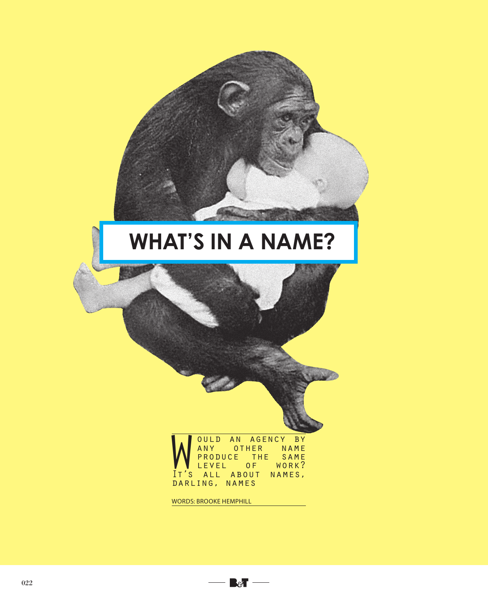## **WHAT'S IN A NAME?**

**What's in a name of the contract of the contract of the contract of the contract of the contract of the contract of the contract of the contract of the contract of the contract of the contract of the contract of the contr** 

WOULD AN AGENCY BY<br>
PRODUCE THE SAME<br>
IT'S ALL ABOUT NAMES, **OULD AN AGENCY BY**<br>ANY OTHER NAME PRODUCE THE SAME<br>LEVEL OF WORK? LEVEL **Of Work** darling, names

 $\mathbb{B}$   $\mathbb{B}$   $\mathbb{C}$ 

WORDS: BROOKE HEMPHILL